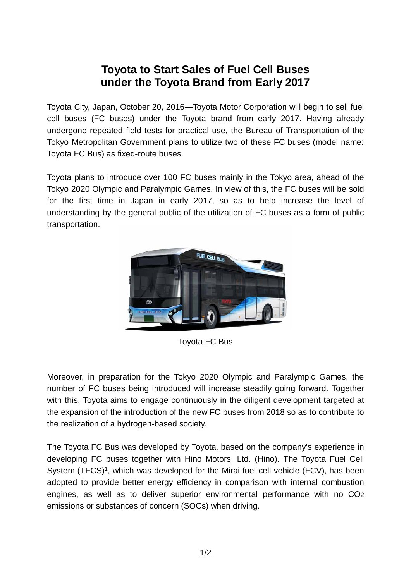## **Toyota to Start Sales of Fuel Cell Buses under the Toyota Brand from Early 2017**

Toyota City, Japan, October 20, 2016―Toyota Motor Corporation will begin to sell fuel cell buses (FC buses) under the Toyota brand from early 2017. Having already undergone repeated field tests for practical use, the Bureau of Transportation of the Tokyo Metropolitan Government plans to utilize two of these FC buses (model name: Toyota FC Bus) as fixed-route buses.

Toyota plans to introduce over 100 FC buses mainly in the Tokyo area, ahead of the Tokyo 2020 Olympic and Paralympic Games. In view of this, the FC buses will be sold for the first time in Japan in early 2017, so as to help increase the level of understanding by the general public of the utilization of FC buses as a form of public transportation.



Toyota FC Bus

Moreover, in preparation for the Tokyo 2020 Olympic and Paralympic Games, the number of FC buses being introduced will increase steadily going forward. Together with this, Toyota aims to engage continuously in the diligent development targeted at the expansion of the introduction of the new FC buses from 2018 so as to contribute to the realization of a hydrogen-based society.

The Toyota FC Bus was developed by Toyota, based on the company's experience in developing FC buses together with Hino Motors, Ltd. (Hino). The Toyota Fuel Cell System (TFCS)<sup>1</sup>, which was developed for the Mirai fuel cell vehicle (FCV), has been adopted to provide better energy efficiency in comparison with internal combustion engines, as well as to deliver superior environmental performance with no CO2 emissions or substances of concern (SOCs) when driving.